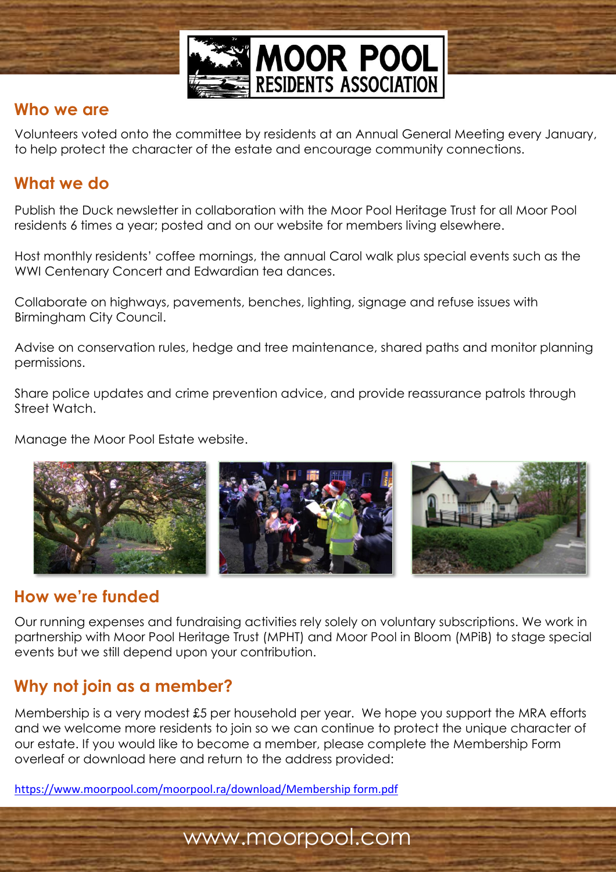

### **Who we are**

Volunteers voted onto the committee by residents at an Annual General Meeting every January, to help protect the character of the estate and encourage community connections.

## **What we do**

Publish the Duck newsletter in collaboration with the Moor Pool Heritage Trust for all Moor Pool residents 6 times a year; posted and on our website for members living elsewhere.

Host monthly residents' coffee mornings, the annual Carol walk plus special events such as the WWI Centenary Concert and Edwardian tea dances.

Collaborate on highways, pavements, benches, lighting, signage and refuse issues with Birmingham City Council.

Advise on conservation rules, hedge and tree maintenance, shared paths and monitor planning permissions.

Share police updates and crime prevention advice, and provide reassurance patrols through Street Watch.

Manage the Moor Pool Estate website.



# **How we're funded**

Our running expenses and fundraising activities rely solely on voluntary subscriptions. We work in partnership with Moor Pool Heritage Trust (MPHT) and Moor Pool in Bloom (MPiB) to stage special events but we still depend upon your contribution.

# **Why not join as a member?**

Membership is a very modest £5 per household per year. We hope you support the MRA efforts and we welcome more residents to join so we can continue to protect the unique character of our estate. If you would like to become a member, please complete the Membership Form overleaf or download here and return to the address provided:

www.moorpool.com

[https://www.moorpool.com/moorpool.ra/download/Membership form.pdf](https://www.moorpool.com/moorpool.ra/download/Membership%20form.pdf)